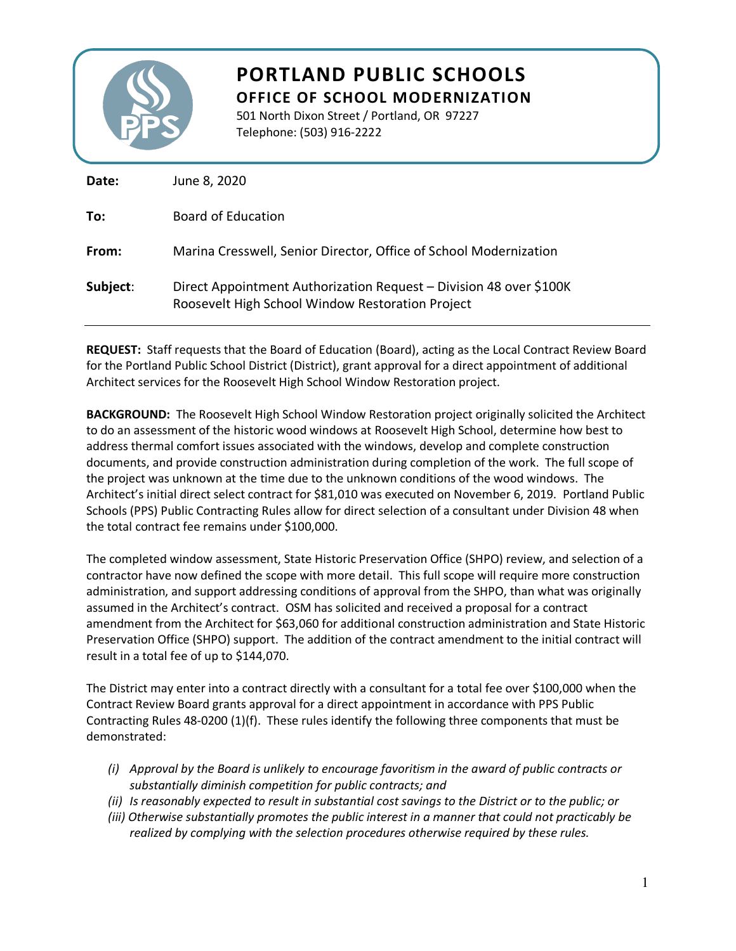

## **PORTLAND PUBLIC SCHOOLS OFFICE OF SCHOOL MODERNIZATION**

501 North Dixon Street / Portland, OR 97227

Telephone: (503) 916-2222

| Date:    | June 8, 2020                                                                                                           |
|----------|------------------------------------------------------------------------------------------------------------------------|
| To:      | Board of Education                                                                                                     |
| From:    | Marina Cresswell, Senior Director, Office of School Modernization                                                      |
| Subject: | Direct Appointment Authorization Request – Division 48 over \$100K<br>Roosevelt High School Window Restoration Project |

**REQUEST:** Staff requests that the Board of Education (Board), acting as the Local Contract Review Board for the Portland Public School District (District), grant approval for a direct appointment of additional Architect services for the Roosevelt High School Window Restoration project.

**BACKGROUND:** The Roosevelt High School Window Restoration project originally solicited the Architect to do an assessment of the historic wood windows at Roosevelt High School, determine how best to address thermal comfort issues associated with the windows, develop and complete construction documents, and provide construction administration during completion of the work. The full scope of the project was unknown at the time due to the unknown conditions of the wood windows. The Architect's initial direct select contract for \$81,010 was executed on November 6, 2019. Portland Public Schools (PPS) Public Contracting Rules allow for direct selection of a consultant under Division 48 when the total contract fee remains under \$100,000.

The completed window assessment, State Historic Preservation Office (SHPO) review, and selection of a contractor have now defined the scope with more detail. This full scope will require more construction administration, and support addressing conditions of approval from the SHPO, than what was originally assumed in the Architect's contract. OSM has solicited and received a proposal for a contract amendment from the Architect for \$63,060 for additional construction administration and State Historic Preservation Office (SHPO) support. The addition of the contract amendment to the initial contract will result in a total fee of up to \$144,070.

The District may enter into a contract directly with a consultant for a total fee over \$100,000 when the Contract Review Board grants approval for a direct appointment in accordance with PPS Public Contracting Rules 48-0200 (1)(f). These rules identify the following three components that must be demonstrated:

- *(i) Approval by the Board is unlikely to encourage favoritism in the award of public contracts or substantially diminish competition for public contracts; and*
- *(ii) Is reasonably expected to result in substantial cost savings to the District or to the public; or*
- *(iii) Otherwise substantially promotes the public interest in a manner that could not practicably be realized by complying with the selection procedures otherwise required by these rules.*